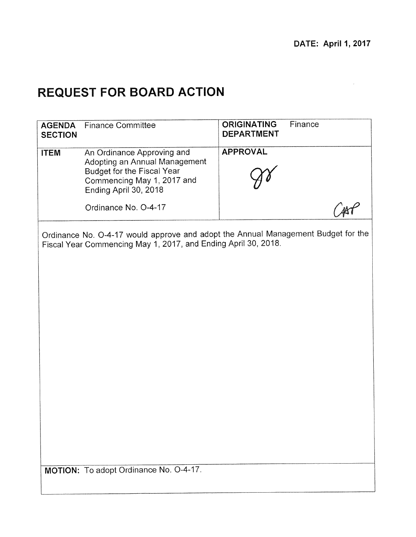$\bar{\alpha}$ 

# **REQUEST FOR BOARD ACTION**

| <b>AGENDA</b><br><b>SECTION</b> | <b>Finance Committee</b>                                                                                                                                | <b>ORIGINATING</b><br>Finance<br><b>DEPARTMENT</b>                                |
|---------------------------------|---------------------------------------------------------------------------------------------------------------------------------------------------------|-----------------------------------------------------------------------------------|
| <b>ITEM</b>                     | An Ordinance Approving and<br>Adopting an Annual Management<br><b>Budget for the Fiscal Year</b><br>Commencing May 1, 2017 and<br>Ending April 30, 2018 | <b>APPROVAL</b>                                                                   |
|                                 | Ordinance No. O-4-17                                                                                                                                    |                                                                                   |
|                                 | Fiscal Year Commencing May 1, 2017, and Ending April 30, 2018.                                                                                          | Ordinance No. O-4-17 would approve and adopt the Annual Management Budget for the |
|                                 |                                                                                                                                                         |                                                                                   |
|                                 |                                                                                                                                                         |                                                                                   |
|                                 |                                                                                                                                                         |                                                                                   |
|                                 |                                                                                                                                                         |                                                                                   |
|                                 |                                                                                                                                                         |                                                                                   |
|                                 |                                                                                                                                                         |                                                                                   |
|                                 | MOTION: To adopt Ordinance No. O-4-17.                                                                                                                  |                                                                                   |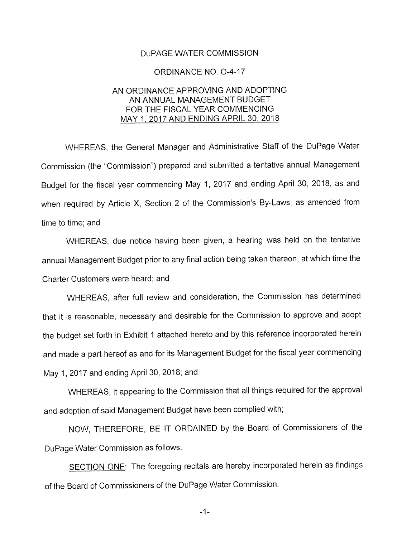#### DuPAGE WATER COMMISSION

#### ORDINANCE NO. 0-4-17

#### AN ORDINANCE APPROVING AND ADOPTING AN ANNUAL MANAGEMENT BUDGET FOR THE FISCAL YEAR COMMENCING MAY 1, 2017 AND ENDING APRIL 30, 2018

WHEREAS, the General Manager and Administrative Staff of the DuPage Water Commission (the "Commission") prepared and submitted a tentative annual Management Budget for the fiscal year commencing May 1, 2017 and ending April 30, 2018, as and when required by Article X, Section 2 of the Commission's By-Laws, as amended from time to time; and

WHEREAS, due notice having been given, a hearing was held on the tentative annual Management Budget prior to any final action being taken thereon, at which time the Charter Customers were heard; and

WHEREAS, after full review and consideration, the Commission has determined that it is reasonable, necessary and desirable for the Commission to approve and adopt the budget set forth in Exhibit 1 attached hereto and by this reference incorporated herein and made a part hereof as and for its Management Budget for the fiscal year commencing May 1, 2017 and ending April 30, 2018; and

WHEREAS, it appearing to the Commission that all things required for the approval and adoption of said Management Budget have been complied with;

NOW, THEREFORE, BE IT ORDAINED by the Board of Commissioners of the DuPage Water Commission as follows:

SECTION ONE: The foregoing recitals are hereby incorporated herein as findings of the Board of Commissioners of the DuPage Water Commission.

 $-1-$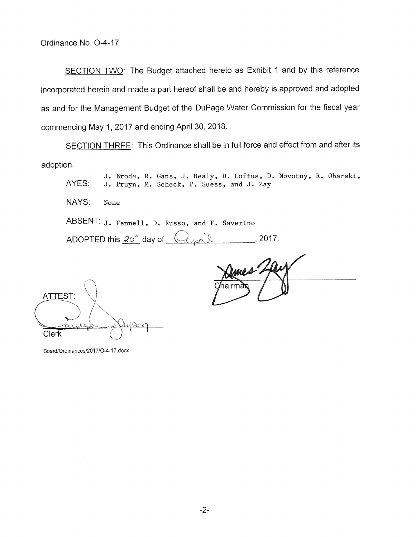SECTION TWO: The Budget attached hereto as Exhibit 1 and by this reference incorporated herein and made a part hereof shall be and hereby is approved and adopted as and for the Management Budget of the DuPage Water Commission for the fiscal year commencing May 1, 2017 and ending April 30, 2018.

SECTION THREE: This Ordinance shall be in full force and effect from and after its adoption.

J. Broda, R. Gans, J. Healy, D. Loftus, D. Novotny, R. Obarski, AYES: J. Pruyn, H. Scheck, P. Suess, and J. Zay NAYS: None ABSENT: J. Fennell, D. Russo, and F. Saverino ADOPTED this  $20^{4}$  day of  $(4, 20)$ 

**ATTEST: Clerk** 

Board/Ordinances/2017/O-4-17.docx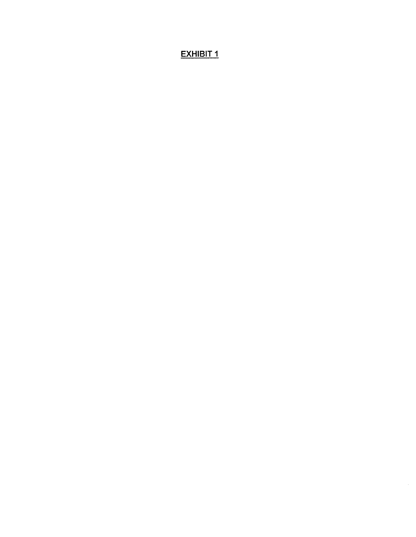# EXHIBIT 1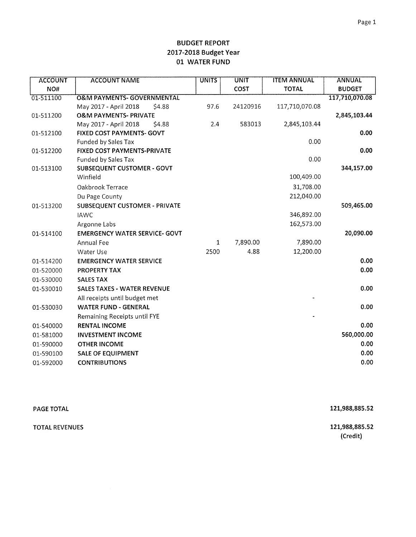| <b>ACCOUNT</b> | <b>ACCOUNT NAME</b>                   | <b>UNITS</b> | <b>UNIT</b> | <b>ITEM ANNUAL</b> | <b>ANNUAL</b>  |
|----------------|---------------------------------------|--------------|-------------|--------------------|----------------|
| NO#            |                                       |              | <b>COST</b> | <b>TOTAL</b>       | <b>BUDGET</b>  |
| 01-511100      | <b>O&amp;M PAYMENTS- GOVERNMENTAL</b> |              |             |                    | 117,710,070.08 |
|                | May 2017 - April 2018<br>\$4.88       | 97.6         | 24120916    | 117,710,070.08     |                |
| 01-511200      | <b>O&amp;M PAYMENTS- PRIVATE</b>      |              |             |                    | 2,845,103.44   |
|                | May 2017 - April 2018<br>\$4.88       | 2.4          | 583013      | 2,845,103.44       |                |
| 01-512100      | <b>FIXED COST PAYMENTS- GOVT</b>      |              |             |                    | 0.00           |
|                | Funded by Sales Tax                   |              |             | 0.00               |                |
| 01-512200      | <b>FIXED COST PAYMENTS-PRIVATE</b>    |              |             |                    | 0.00           |
|                | <b>Funded by Sales Tax</b>            |              |             | 0.00               |                |
| 01-513100      | <b>SUBSEQUENT CUSTOMER - GOVT</b>     |              |             |                    | 344,157.00     |
|                | Winfield                              |              |             | 100,409.00         |                |
|                | Oakbrook Terrace                      |              |             | 31,708.00          |                |
|                | Du Page County                        |              |             | 212,040.00         |                |
| 01-513200      | SUBSEQUENT CUSTOMER - PRIVATE         |              |             |                    | 509,465.00     |
|                | <b>IAWC</b>                           |              |             | 346,892.00         |                |
|                | Argonne Labs                          |              |             | 162,573.00         |                |
| 01-514100      | <b>EMERGENCY WATER SERVICE- GOVT</b>  |              |             |                    | 20,090.00      |
|                | Annual Fee                            | $\mathbf{1}$ | 7,890.00    | 7,890.00           |                |
|                | Water Use                             | 2500         | 4.88        | 12,200.00          |                |
| 01-514200      | <b>EMERGENCY WATER SERVICE</b>        |              |             |                    | 0.00           |
| 01-520000      | PROPERTY TAX                          |              |             |                    | 0.00           |
| 01-530000      | <b>SALES TAX</b>                      |              |             |                    |                |
| 01-530010      | <b>SALES TAXES - WATER REVENUE</b>    |              |             |                    | 0.00           |
|                | All receipts until budget met         |              |             |                    |                |
| 01-530030      | <b>WATER FUND - GENERAL</b>           |              |             |                    | 0.00           |
|                | Remaining Receipts until FYE          |              |             |                    |                |
| 01-540000      | <b>RENTAL INCOME</b>                  |              |             |                    | 0.00           |
| 01-581000      | <b>INVESTMENT INCOME</b>              |              |             |                    | 560,000.00     |
| 01-590000      | <b>OTHER INCOME</b>                   |              |             |                    | 0.00           |
| 01-590100      | <b>SALE OF EQUIPMENT</b>              |              |             |                    | 0.00           |
| 01-592000      | <b>CONTRIBUTIONS</b>                  |              |             |                    | 0.00           |
|                |                                       |              |             |                    |                |

| <b>PAGE TOTAL</b>     | 121,988,885.52 |
|-----------------------|----------------|
| <b>TOTAL REVENUES</b> | 121,988,885.52 |
|                       | (Credit)       |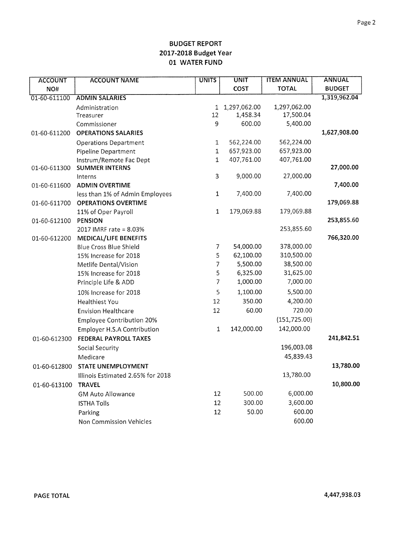| <b>ACCOUNT</b>                               | <b>ACCOUNT NAME</b>                                                                                                                                                                                                                                                                                              | <b>UNITS</b>        | <b>UNIT</b>                             | <b>ITEM ANNUAL</b>                                                                                              | <b>ANNUAL</b>                        |
|----------------------------------------------|------------------------------------------------------------------------------------------------------------------------------------------------------------------------------------------------------------------------------------------------------------------------------------------------------------------|---------------------|-----------------------------------------|-----------------------------------------------------------------------------------------------------------------|--------------------------------------|
| NO#                                          |                                                                                                                                                                                                                                                                                                                  |                     | <b>COST</b>                             | <b>TOTAL</b>                                                                                                    | <b>BUDGET</b>                        |
| 01-60-611100                                 | <b>ADMIN SALARIES</b>                                                                                                                                                                                                                                                                                            |                     |                                         |                                                                                                                 | 1,319,962.04                         |
|                                              | Administration                                                                                                                                                                                                                                                                                                   |                     | 1 1,297,062.00                          | 1,297,062.00                                                                                                    |                                      |
|                                              | Treasurer                                                                                                                                                                                                                                                                                                        | 12                  | 1,458.34                                | 17,500.04                                                                                                       |                                      |
|                                              | Commissioner                                                                                                                                                                                                                                                                                                     | 9                   | 600.00                                  | 5,400.00                                                                                                        |                                      |
| 01-60-611200                                 | <b>OPERATIONS SALARIES</b>                                                                                                                                                                                                                                                                                       |                     |                                         |                                                                                                                 | 1,627,908.00                         |
|                                              | <b>Operations Department</b>                                                                                                                                                                                                                                                                                     | $\mathbf{1}$        | 562,224.00                              | 562,224.00                                                                                                      |                                      |
|                                              | Pipeline Department                                                                                                                                                                                                                                                                                              | $\mathbf{1}$        | 657,923.00                              | 657,923.00                                                                                                      |                                      |
|                                              | Instrum/Remote Fac Dept                                                                                                                                                                                                                                                                                          | $\mathbf 1$         | 407,761.00                              | 407,761.00                                                                                                      |                                      |
| 01-60-611300                                 | <b>SUMMER INTERNS</b>                                                                                                                                                                                                                                                                                            |                     |                                         |                                                                                                                 | 27,000.00                            |
|                                              | Interns                                                                                                                                                                                                                                                                                                          | 3                   | 9,000.00                                | 27,000.00                                                                                                       |                                      |
| 01-60-611600                                 | <b>ADMIN OVERTIME</b>                                                                                                                                                                                                                                                                                            |                     |                                         |                                                                                                                 | 7,400.00                             |
|                                              | less than 1% of Admin Employees                                                                                                                                                                                                                                                                                  | $\mathbf 1$         | 7,400.00                                | 7,400.00                                                                                                        | 179,069.88                           |
| 01-60-611700                                 | <b>OPERATIONS OVERTIME</b>                                                                                                                                                                                                                                                                                       | $\mathbf 1$         | 179,069.88                              | 179,069.88                                                                                                      |                                      |
|                                              | 11% of Oper Payroll<br><b>PENSION</b>                                                                                                                                                                                                                                                                            |                     |                                         |                                                                                                                 | 253,855.60                           |
| 01-60-612100                                 | 2017 IMRF rate = 8.03%                                                                                                                                                                                                                                                                                           |                     |                                         | 253,855.60                                                                                                      |                                      |
| 01-60-612200                                 | MEDICAL/LIFE BENEFITS                                                                                                                                                                                                                                                                                            |                     |                                         |                                                                                                                 | 766,320.00                           |
|                                              | Blue Cross Blue Shield                                                                                                                                                                                                                                                                                           | 7                   | 54,000.00                               | 378,000.00                                                                                                      |                                      |
|                                              | 15% Increase for 2018                                                                                                                                                                                                                                                                                            | 5                   | 62,100.00                               | 310,500.00                                                                                                      |                                      |
|                                              | Metlife Dental/Vision                                                                                                                                                                                                                                                                                            | $\overline{7}$      | 5,500.00                                | 38,500.00                                                                                                       |                                      |
|                                              | 15% Increase for 2018                                                                                                                                                                                                                                                                                            | 5                   | 6,325.00                                | 31,625.00                                                                                                       |                                      |
|                                              | Principle Life & ADD                                                                                                                                                                                                                                                                                             | $\overline{7}$      | 1,000.00                                | 7,000.00                                                                                                        |                                      |
|                                              | 10% Increase for 2018                                                                                                                                                                                                                                                                                            | 5                   | 1,100.00                                | 5,500.00                                                                                                        |                                      |
|                                              | <b>Healthiest You</b>                                                                                                                                                                                                                                                                                            | 12                  | 350.00                                  | 4,200.00                                                                                                        |                                      |
|                                              | <b>Envision Healthcare</b>                                                                                                                                                                                                                                                                                       | 12                  | 60.00                                   | 720.00                                                                                                          |                                      |
|                                              |                                                                                                                                                                                                                                                                                                                  |                     |                                         |                                                                                                                 |                                      |
|                                              |                                                                                                                                                                                                                                                                                                                  |                     |                                         |                                                                                                                 |                                      |
|                                              |                                                                                                                                                                                                                                                                                                                  |                     |                                         |                                                                                                                 |                                      |
|                                              |                                                                                                                                                                                                                                                                                                                  |                     |                                         |                                                                                                                 |                                      |
|                                              |                                                                                                                                                                                                                                                                                                                  |                     |                                         |                                                                                                                 |                                      |
|                                              |                                                                                                                                                                                                                                                                                                                  |                     |                                         |                                                                                                                 |                                      |
|                                              |                                                                                                                                                                                                                                                                                                                  |                     |                                         |                                                                                                                 |                                      |
|                                              |                                                                                                                                                                                                                                                                                                                  |                     |                                         |                                                                                                                 |                                      |
|                                              |                                                                                                                                                                                                                                                                                                                  |                     |                                         |                                                                                                                 |                                      |
|                                              |                                                                                                                                                                                                                                                                                                                  |                     |                                         |                                                                                                                 |                                      |
|                                              |                                                                                                                                                                                                                                                                                                                  |                     |                                         |                                                                                                                 |                                      |
|                                              |                                                                                                                                                                                                                                                                                                                  |                     |                                         |                                                                                                                 |                                      |
| 01-60-612300<br>01-60-612800<br>01-60-613100 | <b>Employee Contribution 20%</b><br><b>Employer H.S.A Contribution</b><br>FEDERAL PAYROLL TAXES<br><b>Social Security</b><br>Medicare<br><b>STATE UNEMPLOYMENT</b><br>Illinois Estimated 2.65% for 2018<br><b>TRAVEL</b><br><b>GM Auto Allowance</b><br><b>ISTHA Tolls</b><br>Parking<br>Non Commission Vehicles | 1<br>12<br>12<br>12 | 142,000.00<br>500.00<br>300.00<br>50.00 | (151, 725.00)<br>142,000.00<br>196,003.08<br>45,839.43<br>13,780.00<br>6,000.00<br>3,600.00<br>600.00<br>600.00 | 241,842.51<br>13,780.00<br>10,800.00 |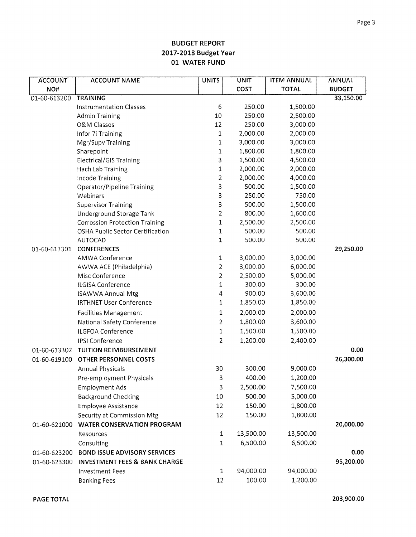| <b>ACCOUNT</b> | <b>ACCOUNT NAME</b>                      | <b>UNITS</b>   | <b>UNIT</b> | <b>ITEM ANNUAL</b> | <b>ANNUAL</b> |
|----------------|------------------------------------------|----------------|-------------|--------------------|---------------|
| NO#            |                                          |                | COST        | <b>TOTAL</b>       | <b>BUDGET</b> |
| 01-60-613200   | <b>TRAINING</b>                          |                |             |                    | 33,150.00     |
|                | <b>Instrumentation Classes</b>           | 6              | 250.00      | 1,500.00           |               |
|                | Admin Training                           | 10             | 250.00      | 2,500.00           |               |
|                | O&M Classes                              | 12             | 250.00      | 3,000.00           |               |
|                | Infor 7i Training                        | $\mathbf 1$    | 2,000.00    | 2,000.00           |               |
|                | Mgr/Supv Training                        | $\mathbf{1}$   | 3,000.00    | 3,000.00           |               |
|                | Sharepoint                               | 1              | 1,800.00    | 1,800.00           |               |
|                | <b>Electrical/GIS Training</b>           | 3              | 1,500.00    | 4,500.00           |               |
|                | Hach Lab Training                        | 1              | 2,000.00    | 2,000.00           |               |
|                | Incode Training                          | 2              | 2,000.00    | 4,000.00           |               |
|                | Operator/Pipeline Training               | 3              | 500.00      | 1,500.00           |               |
|                | Webinars                                 | 3              | 250.00      | 750.00             |               |
|                | <b>Supervisor Training</b>               | 3              | 500.00      | 1,500.00           |               |
|                | Underground Storage Tank                 | 2              | 800.00      | 1,600.00           |               |
|                | <b>Corrossion Protection Training</b>    | $\mathbf 1$    | 2,500.00    | 2,500.00           |               |
|                | OSHA Public Sector Certification         | 1              | 500.00      | 500.00             |               |
|                | <b>AUTOCAD</b>                           | 1              | 500.00      | 500.00             |               |
| 01-60-613301   | <b>CONFERENCES</b>                       |                |             |                    | 29,250.00     |
|                | <b>AMWA Conference</b>                   | 1              | 3,000.00    | 3,000.00           |               |
|                | AWWA ACE (Philadelphia)                  | $\overline{c}$ | 3,000.00    | 6,000.00           |               |
|                | Misc Conference                          | $\overline{2}$ | 2,500.00    | 5,000.00           |               |
|                | ILGISA Conference                        | 1              | 300.00      | 300.00             |               |
|                | <b>ISAWWA Annual Mtg</b>                 | $\overline{4}$ | 900.00      | 3,600.00           |               |
|                | <b>IRTHNET User Conference</b>           | 1              | 1,850.00    | 1,850.00           |               |
|                | <b>Facilities Management</b>             | 1              | 2,000.00    | 2,000.00           |               |
|                | National Safety Conference               | $\overline{c}$ | 1,800.00    | 3,600.00           |               |
|                | ILGFOA Conference                        | $\mathbf{1}$   | 1,500.00    | 1,500.00           |               |
|                | <b>IPSI Conference</b>                   | $\overline{2}$ | 1,200.00    | 2,400.00           |               |
| 01-60-613302   | <b>TUITION REIMBURSEMENT</b>             |                |             |                    | 0.00          |
| 01-60-619100   | OTHER PERSONNEL COSTS                    |                |             |                    | 26,300.00     |
|                | Annual Physicals                         | 30             | 300.00      | 9,000.00           |               |
|                | Pre-employment Physicals                 | 3              | 400.00      | 1,200.00           |               |
|                | <b>Employment Ads</b>                    | $\mathsf 3$    | 2,500.00    | 7,500.00           |               |
|                | <b>Background Checking</b>               | 10             | 500.00      | 5,000.00           |               |
|                | <b>Employee Assistance</b>               | 12             | 150.00      | 1,800.00           |               |
|                | Security at Commission Mtg               | 12             | 150.00      | 1,800.00           |               |
| 01-60-621000   | <b>WATER CONSERVATION PROGRAM</b>        |                |             |                    | 20,000.00     |
|                | Resources                                | $\mathbf{1}$   | 13,500.00   | 13,500.00          |               |
|                | Consulting                               | 1              | 6,500.00    | 6,500.00           |               |
|                | <b>BOND ISSUE ADVISORY SERVICES</b>      |                |             |                    | 0.00          |
| 01-60-623200   |                                          |                |             |                    | 95,200.00     |
| 01-60-623300   | <b>INVESTMENT FEES &amp; BANK CHARGE</b> |                |             |                    |               |
|                | <b>Investment Fees</b>                   | $\mathbf{1}$   | 94,000.00   | 94,000.00          |               |
|                | <b>Banking Fees</b>                      | 12             | 100.00      | 1,200.00           |               |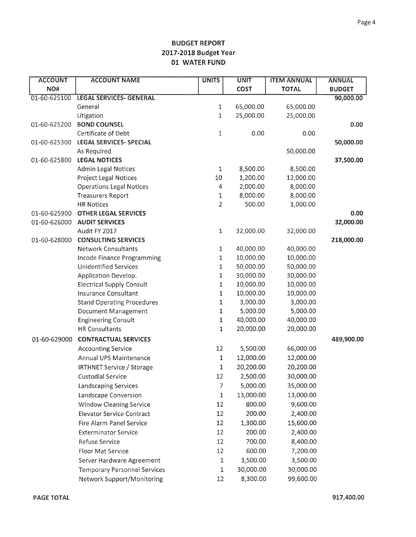| <b>ACCOUNT</b> | <b>ACCOUNT NAME</b>                 | <b>UNITS</b> | <b>UNIT</b> | <b>ITEM ANNUAL</b> | <b>ANNUAL</b> |
|----------------|-------------------------------------|--------------|-------------|--------------------|---------------|
| NO#            |                                     |              | COST        | <b>TOTAL</b>       | <b>BUDGET</b> |
| 01-60-625100   | <b>LEGAL SERVICES- GENERAL</b>      |              |             |                    | 90,000.00     |
|                | General                             | 1            | 65,000.00   | 65,000.00          |               |
|                | Litigation                          | $\mathbf 1$  | 25,000.00   | 25,000.00          |               |
| 01-60-625200   | <b>BOND COUNSEL</b>                 |              |             |                    | 0.00          |
|                | Certificate of Debt                 | 1            | 0.00        | 0.00               |               |
| 01-60-625300   | LEGAL SERVICES- SPECIAL             |              |             |                    | 50,000.00     |
|                | As Required                         |              |             | 50,000.00          |               |
| 01-60-625800   | <b>LEGAL NOTICES</b>                |              |             |                    | 37,500.00     |
|                | <b>Admin Legal Notices</b>          | $\mathbf{1}$ | 8,500.00    | 8,500.00           |               |
|                | Project Legal Notices               | 10           | 1,200.00    | 12,000.00          |               |
|                | <b>Operations Legal Notices</b>     | 4            | 2,000.00    | 8,000.00           |               |
|                | <b>Treasurers Report</b>            | 1            | 8,000.00    | 8,000.00           |               |
|                | <b>HR Notices</b>                   | 2            | 500.00      | 1,000.00           |               |
| 01-60-625900   | <b>OTHER LEGAL SERVICES</b>         |              |             |                    | 0.00          |
| 01-60-626000   | <b>AUDIT SERVICES</b>               |              |             |                    | 32,000.00     |
|                | Audit FY 2017                       | $\mathbf{1}$ | 32,000.00   | 32,000.00          |               |
| 01-60-628000   | <b>CONSULTING SERVICES</b>          |              |             |                    | 218,000.00    |
|                | <b>Network Consultants</b>          | $\mathbf{1}$ | 40,000.00   | 40,000.00          |               |
|                | Incode Finance Programming          | $\mathbf{1}$ | 10,000.00   | 10,000.00          |               |
|                | <b>Unidentified Services</b>        | 1            | 50,000.00   | 50,000.00          |               |
|                | Application Develop.                | $\mathbf{1}$ | 30,000.00   | 30,000.00          |               |
|                | <b>Electrical Supply Consult</b>    | 1            | 10,000.00   | 10,000.00          |               |
|                | Insurance Consultant                | 1            | 10,000.00   | 10,000.00          |               |
|                | <b>Stand Operating Procedures</b>   | 1            | 3,000.00    | 3,000.00           |               |
|                | Document Management                 | 1            | 5,000.00    | 5,000.00           |               |
|                | <b>Engineering Consult</b>          | $\mathbf 1$  | 40,000.00   | 40,000.00          |               |
|                | <b>HR Consultants</b>               | 1            | 20,000.00   | 20,000.00          |               |
| 01-60-629000   | <b>CONTRACTUAL SERVICES</b>         |              |             |                    | 489,900.00    |
|                | <b>Accounting Service</b>           | 12           | 5,500.00    | 66,000.00          |               |
|                | Annual UPS Maintenance              | 1            | 12,000.00   | 12,000.00          |               |
|                | <b>IRTHNET Service / Storage</b>    | 1            | 20,200.00   | 20,200.00          |               |
|                | <b>Custodial Service</b>            | 12           | 2,500.00    | 30,000.00          |               |
|                | Landscaping Services                | 7            | 5,000.00    | 35,000.00          |               |
|                | Landscape Conversion                | 1            | 13,000.00   | 13,000.00          |               |
|                | <b>Window Cleaning Service</b>      | 12           | 800.00      | 9,600.00           |               |
|                | <b>Elevator Service Contract</b>    | 12           | 200.00      | 2,400.00           |               |
|                | Fire Alarm Panel Service            | 12           | 1,300.00    | 15,600.00          |               |
|                | <b>Exterminator Service</b>         | 12           | 200.00      | 2,400.00           |               |
|                | Refuse Service                      | 12           | 700.00      | 8,400.00           |               |
|                | Floor Mat Service                   | 12           | 600.00      | 7,200.00           |               |
|                | Server Hardware Agreement           | $\mathbf{1}$ | 3,500.00    | 3,500.00           |               |
|                | <b>Temporary Personnel Services</b> | $1\,$        | 30,000.00   | 30,000.00          |               |
|                | Network Support/Monitoring          | 12           | 8,300.00    | 99,600.00          |               |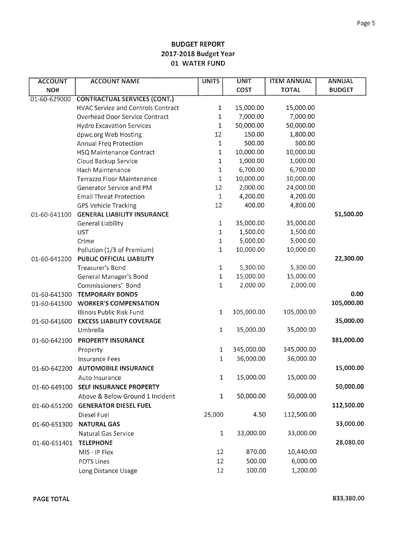| <b>ACCOUNT</b> | <b>ACCOUNT NAME</b>                       | <b>UNITS</b> | <b>UNIT</b> | <b>ITEM ANNUAL</b> | <b>ANNUAL</b> |
|----------------|-------------------------------------------|--------------|-------------|--------------------|---------------|
| NO#            |                                           |              | COST        | <b>TOTAL</b>       | <b>BUDGET</b> |
| 01-60-629000   | <b>CONTRACTUAL SERVICES (CONT.)</b>       |              |             |                    |               |
|                | <b>HVAC Service and Controls Contract</b> | 1            | 15,000.00   | 15,000.00          |               |
|                | Overhead Door Service Contract            | 1            | 7,000.00    | 7,000.00           |               |
|                | <b>Hydro Excavation Services</b>          | 1            | 50,000.00   | 50,000.00          |               |
|                | dpwc.org Web Hosting                      | 12           | 150.00      | 1,800.00           |               |
|                | Annual Freq Protection                    | $\mathbf{1}$ | 500.00      | 500.00             |               |
|                | HSQ Maintenance Contract                  | 1            | 10,000.00   | 10,000.00          |               |
|                | Cloud Backup Service                      | 1            | 1,000.00    | 1,000.00           |               |
|                | Hach Maintenance                          | 1            | 6,700.00    | 6,700.00           |               |
|                | Terrazzo Floor Maintenance                | $\mathbf 1$  | 10,000.00   | 10,000.00          |               |
|                | Generator Service and PM                  | 12           | 2,000.00    | 24,000.00          |               |
|                | <b>Email Threat Protection</b>            | $\mathbf 1$  | 4,200.00    | 4,200.00           |               |
|                | <b>GPS Vehicle Tracking</b>               | 12           | 400.00      | 4,800.00           |               |
| 01-60-641100   | <b>GENERAL LIABILITY INSURANCE</b>        |              |             |                    | 51,500.00     |
|                | <b>General Liability</b>                  | $\mathbf{1}$ | 35,000.00   | 35,000.00          |               |
|                | <b>UST</b>                                | $\mathbf{1}$ | 1,500.00    | 1,500.00           |               |
|                | Crime                                     | $\mathbf 1$  | 5,000.00    | 5,000.00           |               |
|                | Pollution (1/3 of Premium)                | 1            | 10,000.00   | 10,000.00          |               |
| 01-60-641200   | PUBLIC OFFICIAL LIABILITY                 |              |             |                    | 22,300.00     |
|                | Treasurer's Bond                          | 1            | 5,300.00    | 5,300.00           |               |
|                | General Manager's Bond                    | $\mathbf 1$  | 15,000.00   | 15,000.00          |               |
|                | Commissioners' Bond                       | 1            | 2,000.00    | 2,000.00           |               |
| 01-60-641300   | <b>TEMPORARY BONDS</b>                    |              |             |                    | 0.00          |
| 01-60-641500   | <b>WORKER'S COMPENSATION</b>              |              |             |                    | 105,000.00    |
|                | Illinois Public Risk Fund                 | $\mathbf 1$  | 105,000.00  | 105,000.00         |               |
| 01-60-641600   | <b>EXCESS LIABILITY COVERAGE</b>          |              |             |                    | 35,000.00     |
|                | Umbrella                                  | $\mathbf 1$  | 35,000.00   | 35,000.00          |               |
| 01-60-642100   | <b>PROPERTY INSURANCE</b>                 |              |             |                    | 381,000.00    |
|                | Property                                  | $\mathbf{1}$ | 345,000.00  | 345,000.00         |               |
|                | <b>Insurance Fees</b>                     | 1            | 36,000.00   | 36,000.00          |               |
| 01-60-642200   | <b>AUTOMOBILE INSURANCE</b>               |              |             |                    | 15,000.00     |
|                | Auto Insurance                            | 1            | 15,000.00   | 15,000.00          |               |
| 01-60-649100   | SELF INSURANCE PROPERTY                   |              |             |                    | 50,000.00     |
|                | Above & Below Ground 1 Incident           | $\mathbf{1}$ | 50,000.00   | 50,000.00          |               |
| 01-60-651200   | <b>GENERATOR DIESEL FUEL</b>              |              |             |                    | 112,500.00    |
|                | Diesel Fuel                               | 25,000       | 4.50        | 112,500.00         |               |
| 01-60-651300   | <b>NATURAL GAS</b>                        |              |             |                    | 33,000.00     |
|                | Natural Gas Service                       | $\mathbf{1}$ | 33,000.00   | 33,000.00          |               |
|                | <b>TELEPHONE</b>                          |              |             |                    | 28,080.00     |
| 01-60-651401   |                                           |              |             |                    |               |
|                | MIS - IP Flex                             | 12           | 870.00      | 10,440.00          |               |
|                | <b>POTS Lines</b>                         | 12           | 500.00      | 6,000.00           |               |
|                | Long Distance Usage                       | 12           | 100.00      | 1,200.00           |               |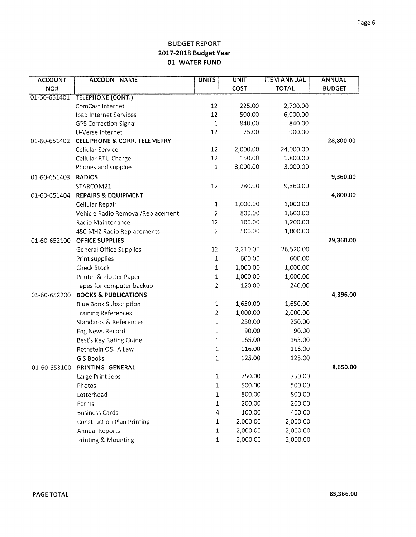| <b>ACCOUNT</b> | <b>ACCOUNT NAME</b>                     | <b>UNITS</b>   | <b>UNIT</b> | <b>ITEM ANNUAL</b> | <b>ANNUAL</b> |
|----------------|-----------------------------------------|----------------|-------------|--------------------|---------------|
| NO#            |                                         |                | COST        | <b>TOTAL</b>       | <b>BUDGET</b> |
| 01-60-651401   | <b>TELEPHONE (CONT.)</b>                |                |             |                    |               |
|                | ComCast Internet                        | 12             | 225.00      | 2,700.00           |               |
|                | Ipad Internet Services                  | 12             | 500.00      | 6,000.00           |               |
|                | <b>GPS Correction Signal</b>            | $\mathbf{1}$   | 840.00      | 840.00             |               |
|                | U-Verse Internet                        | 12             | 75.00       | 900.00             |               |
| 01-60-651402   | <b>CELL PHONE &amp; CORR. TELEMETRY</b> |                |             |                    | 28,800.00     |
|                | Cellular Service                        | 12             | 2,000.00    | 24,000.00          |               |
|                | Cellular RTU Charge                     | 12             | 150.00      | 1,800.00           |               |
|                | Phones and supplies                     | 1              | 3,000.00    | 3,000.00           |               |
| 01-60-651403   | <b>RADIOS</b>                           |                |             |                    | 9,360.00      |
|                | STARCOM21                               | 12             | 780.00      | 9,360.00           |               |
| 01-60-651404   | <b>REPAIRS &amp; EQUIPMENT</b>          |                |             |                    | 4,800.00      |
|                | Cellular Repair                         | 1              | 1,000.00    | 1,000.00           |               |
|                | Vehicle Radio Removal/Replacement       | $\overline{2}$ | 800.00      | 1,600.00           |               |
|                | Radio Maintenance                       | 12             | 100.00      | 1,200.00           |               |
|                | 450 MHZ Radio Replacements              | $\overline{2}$ | 500.00      | 1,000.00           |               |
| 01-60-652100   | <b>OFFICE SUPPLIES</b>                  |                |             |                    | 29,360.00     |
|                | <b>General Office Supplies</b>          | 12             | 2,210.00    | 26,520.00          |               |
|                | Print supplies                          | $\mathbf{1}$   | 600.00      | 600.00             |               |
|                | Check Stock                             | 1              | 1,000.00    | 1,000.00           |               |
|                | Printer & Plotter Paper                 | 1              | 1,000.00    | 1,000.00           |               |
|                | Tapes for computer backup               | $\overline{2}$ | 120.00      | 240.00             |               |
| 01-60-652200   | <b>BOOKS &amp; PUBLICATIONS</b>         |                |             |                    | 4,396.00      |
|                | <b>Blue Book Subscription</b>           | 1              | 1,650.00    | 1,650.00           |               |
|                | <b>Training References</b>              | 2              | 1,000.00    | 2,000.00           |               |
|                | Standards & References                  | 1              | 250.00      | 250.00             |               |
|                | Eng News Record                         | 1              | 90.00       | 90.00              |               |
|                | Best's Key Rating Guide                 | 1              | 165.00      | 165.00             |               |
|                | Rothstein OSHA Law                      | 1              | 116.00      | 116.00             |               |
|                | GIS Books                               | 1              | 125.00      | 125.00             |               |
| 01-60-653100   | PRINTING- GENERAL                       |                |             |                    | 8,650.00      |
|                | Large Print Jobs                        | 1              | 750.00      | 750.00             |               |
|                | Photos                                  | 1              | 500.00      | 500.00             |               |
|                | Letterhead                              | 1              | 800.00      | 800.00             |               |
|                | Forms                                   | $\mathbf{1}$   | 200.00      | 200.00             |               |
|                | <b>Business Cards</b>                   | 4              | 100.00      | 400.00             |               |
|                | <b>Construction Plan Printing</b>       | $1\,$          | 2,000.00    | 2,000.00           |               |
|                | <b>Annual Reports</b>                   | $\mathbf{1}$   | 2,000.00    | 2,000.00           |               |
|                | Printing & Mounting                     | $\mathbf 1$    | 2,000.00    | 2,000.00           |               |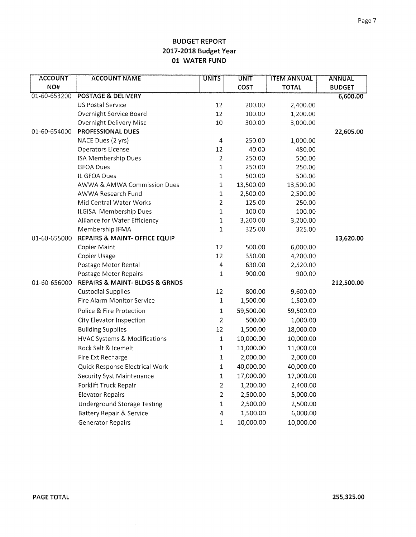| <b>ACCOUNT</b> | <b>ACCOUNT NAME</b>                           | <b>UNITS</b>   | <b>UNIT</b> | <b>ITEM ANNUAL</b> | <b>ANNUAL</b> |
|----------------|-----------------------------------------------|----------------|-------------|--------------------|---------------|
| NO#            |                                               |                | COST        | <b>TOTAL</b>       | <b>BUDGET</b> |
| 01-60-653200   | <b>POSTAGE &amp; DELIVERY</b>                 |                |             |                    | 6,600.00      |
|                | <b>US Postal Service</b>                      | 12             | 200.00      | 2,400.00           |               |
|                | Overnight Service Board                       | 12             | 100.00      | 1,200.00           |               |
|                | Overnight Delivery Misc                       | 10             | 300.00      | 3,000.00           |               |
| 01-60-654000   | <b>PROFESSIONAL DUES</b>                      |                |             |                    | 22,605.00     |
|                | NACE Dues (2 yrs)                             | $\overline{4}$ | 250.00      | 1,000.00           |               |
|                | Operators License                             | 12             | 40.00       | 480.00             |               |
|                | ISA Membership Dues                           | $\overline{2}$ | 250.00      | 500.00             |               |
|                | <b>GFOA Dues</b>                              | $\mathbf 1$    | 250.00      | 250.00             |               |
|                | IL GFOA Dues                                  | $\mathbf 1$    | 500.00      | 500.00             |               |
|                | AWWA & AMWA Commission Dues                   | $\mathbf{1}$   | 13,500.00   | 13,500.00          |               |
|                | AWWA Research Fund                            | $\mathbf 1$    | 2,500.00    | 2,500.00           |               |
|                | Mid Central Water Works                       | $\overline{2}$ | 125.00      | 250.00             |               |
|                | ILGISA Membership Dues                        | $\mathbf 1$    | 100.00      | 100.00             |               |
|                | Alliance for Water Efficiency                 | $\mathbf 1$    | 3,200.00    | 3,200.00           |               |
|                | Membership IFMA                               | $\mathbf 1$    | 325.00      | 325.00             |               |
| 01-60-655000   | REPAIRS & MAINT- OFFICE EQUIP                 |                |             |                    | 13,620.00     |
|                | Copier Maint                                  | 12             | 500.00      | 6,000.00           |               |
|                | Copier Usage                                  | 12             | 350.00      | 4,200.00           |               |
|                | Postage Meter Rental                          | $\overline{4}$ | 630.00      | 2,520.00           |               |
|                | Postage Meter Repairs                         | $\mathbf{1}$   | 900.00      | 900.00             |               |
| 01-60-656000   | <b>REPAIRS &amp; MAINT- BLDGS &amp; GRNDS</b> |                |             |                    | 212,500.00    |
|                | <b>Custodial Supplies</b>                     | 12             | 800.00      | 9,600.00           |               |
|                | Fire Alarm Monitor Service                    | $\mathbf 1$    | 1,500.00    | 1,500.00           |               |
|                | Police & Fire Protection                      | $\mathbf 1$    | 59,500.00   | 59,500.00          |               |
|                | City Elevator Inspection                      | $\overline{c}$ | 500.00      | 1,000.00           |               |
|                | <b>Building Supplies</b>                      | 12             | 1,500.00    | 18,000.00          |               |
|                | <b>HVAC Systems &amp; Modifications</b>       | $\mathbf 1$    | 10,000.00   | 10,000.00          |               |
|                | Rock Salt & Icemelt                           | $\mathbf 1$    | 11,000.00   | 11,000.00          |               |
|                | Fire Ext Recharge                             | $\mathbf 1$    | 2,000.00    | 2,000.00           |               |
|                | Quick Response Electrical Work                | $\mathbf 1$    | 40,000.00   | 40,000.00          |               |
|                | <b>Security Syst Maintenance</b>              | $\mathbf{1}$   | 17,000.00   | 17,000.00          |               |
|                | Forklift Truck Repair                         | $\overline{2}$ | 1,200.00    | 2,400.00           |               |
|                | <b>Elevator Repairs</b>                       | $\overline{2}$ | 2,500.00    | 5,000.00           |               |
|                | <b>Underground Storage Testing</b>            | $\mathbf 1$    | 2,500.00    | 2,500.00           |               |
|                | <b>Battery Repair &amp; Service</b>           | 4              | 1,500.00    | 6,000.00           |               |
|                | <b>Generator Repairs</b>                      | 1              | 10,000.00   | 10,000.00          |               |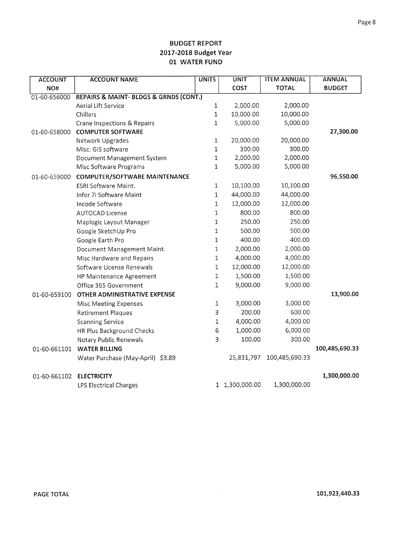| <b>ACCOUNT</b> | <b>ACCOUNT NAME</b>                    | <b>UNITS</b> | UNIT           | <b>ITEM ANNUAL</b> | <b>ANNUAL</b>  |
|----------------|----------------------------------------|--------------|----------------|--------------------|----------------|
| NO#            |                                        |              | COST           | <b>TOTAL</b>       | <b>BUDGET</b>  |
| 01-60-656000   | REPAIRS & MAINT- BLDGS & GRNDS (CONT.) |              |                |                    |                |
|                | Aerial Lift Service                    | $\mathbf{1}$ | 2,000.00       | 2,000.00           |                |
|                | Chillers                               | $\mathbf{1}$ | 10,000.00      | 10,000.00          |                |
|                | Crane Inspections & Repairs            | 1            | 5,000.00       | 5,000.00           |                |
| 01-60-658000   | <b>COMPUTER SOFTWARE</b>               |              |                |                    | 27,300.00      |
|                | Network Upgrades                       | $\mathbf{1}$ | 20,000.00      | 20,000.00          |                |
|                | Misc. GIS software                     | $\mathbf{1}$ | 300.00         | 300.00             |                |
|                | Document Management System             | 1            | 2,000.00       | 2,000.00           |                |
|                | Misc Software Programs                 | 1            | 5,000.00       | 5,000.00           |                |
| 01-60-659000   | COMPUTER/SOFTWARE MAINTENANCE          |              |                |                    | 96,550.00      |
|                | ESRI Software Maint.                   | 1            | 10,100.00      | 10,100.00          |                |
|                | Infor 7i Software Maint                | 1            | 44,000.00      | 44,000.00          |                |
|                | Incode Software                        | 1            | 12,000.00      | 12,000.00          |                |
|                | <b>AUTOCAD License</b>                 | $\mathbf{1}$ | 800.00         | 800.00             |                |
|                | Maplogic Layout Manager                | $\mathbf{1}$ | 250.00         | 250.00             |                |
|                | Google SketchUp Pro                    | $\mathbf 1$  | 500.00         | 500.00             |                |
|                | Google Earth Pro                       | $\mathbf{1}$ | 400.00         | 400.00             |                |
|                | Document Management Maint.             | 1            | 2,000.00       | 2,000.00           |                |
|                | Misc Hardware and Repairs              | 1            | 4,000.00       | 4,000.00           |                |
|                | Software License Renewals              | 1            | 12,000.00      | 12,000.00          |                |
|                | HP Maintenance Agreement               | 1            | 1,500.00       | 1,500.00           |                |
|                | Office 365 Government                  | 1            | 9,000.00       | 9,000.00           |                |
| 01-60-659100   | OTHER ADMINISTRATIVE EXPENSE           |              |                |                    | 13,900.00      |
|                | Misc Meeting Expenses                  | $\mathbf 1$  | 3,000.00       | 3,000.00           |                |
|                | <b>Retirement Plaques</b>              | 3            | 200.00         | 600.00             |                |
|                | <b>Scanning Service</b>                | $\mathbf{1}$ | 4,000.00       | 4,000.00           |                |
|                | HR Plus Background Checks              | 6            | 1,000.00       | 6,000.00           |                |
|                | Notary Public Renewals                 | 3            | 100.00         | 300.00             |                |
| 01-60-661101   | <b>WATER BILLING</b>                   |              |                |                    | 100,485,690.33 |
|                | Water Purchase (May-April) \$3.89      |              | 25,831,797     | 100,485,690.33     |                |
| 01-60-661102   | <b>ELECTRICITY</b>                     |              |                |                    | 1,300,000.00   |
|                | LPS Electrical Charges                 |              | 1 1,300,000.00 | 1,300,000.00       |                |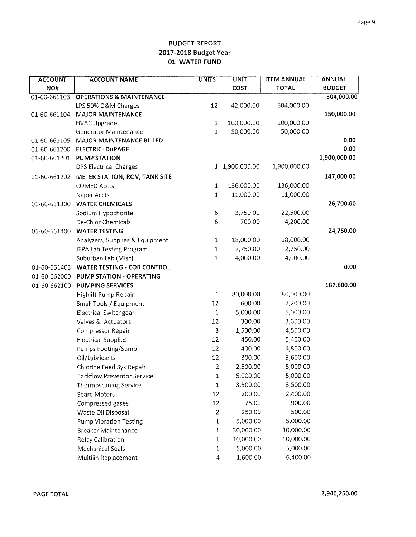| <b>TOTAL</b><br><b>BUDGET</b><br>NO#<br><b>COST</b><br>504,000.00<br>01-60-661103<br><b>OPERATIONS &amp; MAINTENANCE</b><br>12<br>504,000.00<br>LPS 50% O&M Charges<br>42,000.00<br>150,000.00<br>01-60-661104<br><b>MAJOR MAINTENANCE</b><br>100,000.00<br>100,000.00<br>$\mathbf{1}$<br><b>HVAC Upgrade</b><br>$\mathbf 1$<br>50,000.00<br>50,000.00<br><b>Generator Maintenance</b><br>0.00<br>01-60-661105<br><b>MAJOR MAINTENANCE BILLED</b><br>0.00<br>01-60-661200<br><b>ELECTRIC- DuPAGE</b><br>1,900,000.00<br>01-60-661201<br><b>PUMP STATION</b><br>1 1,900,000.00<br>1,900,000.00<br><b>DPS Electrical Charges</b><br>147,000.00<br>01-60-661202<br>METER STATION, ROV, TANK SITE<br>136,000.00<br>136,000.00<br><b>COMED Accts</b><br>$\mathbf{1}$<br>11,000.00<br>11,000.00<br>1<br>Naper Accts<br>26,700.00<br><b>WATER CHEMICALS</b><br>01-60-661300<br>$\boldsymbol{6}$<br>3,750.00<br>22,500.00<br>Sodium Hypochorite<br>6<br>700.00<br>4,200.00<br>De-Chlor Chemicals<br>24,750.00<br><b>WATER TESTING</b><br>01-60-661400<br>$1\,$<br>18,000.00<br>18,000.00<br>Analyzers, Supplies & Equipment<br>2,750.00<br>2,750.00<br>IEPA Lab Testing Program<br>1<br>4,000.00<br>4,000.00<br>Suburban Lab (Misc)<br>1<br>0.00<br><b>WATER TESTING - COR CONTROL</b><br>01-60-661403<br>01-60-662000<br>PUMP STATION - OPERATING | <b>ACCOUNT</b> | <b>ACCOUNT NAME</b>     | <b>UNITS</b> | <b>UNIT</b> | <b>ITEM ANNUAL</b> | <b>ANNUAL</b> |
|--------------------------------------------------------------------------------------------------------------------------------------------------------------------------------------------------------------------------------------------------------------------------------------------------------------------------------------------------------------------------------------------------------------------------------------------------------------------------------------------------------------------------------------------------------------------------------------------------------------------------------------------------------------------------------------------------------------------------------------------------------------------------------------------------------------------------------------------------------------------------------------------------------------------------------------------------------------------------------------------------------------------------------------------------------------------------------------------------------------------------------------------------------------------------------------------------------------------------------------------------------------------------------------------------------------------------------------------|----------------|-------------------------|--------------|-------------|--------------------|---------------|
|                                                                                                                                                                                                                                                                                                                                                                                                                                                                                                                                                                                                                                                                                                                                                                                                                                                                                                                                                                                                                                                                                                                                                                                                                                                                                                                                            |                |                         |              |             |                    |               |
|                                                                                                                                                                                                                                                                                                                                                                                                                                                                                                                                                                                                                                                                                                                                                                                                                                                                                                                                                                                                                                                                                                                                                                                                                                                                                                                                            |                |                         |              |             |                    |               |
|                                                                                                                                                                                                                                                                                                                                                                                                                                                                                                                                                                                                                                                                                                                                                                                                                                                                                                                                                                                                                                                                                                                                                                                                                                                                                                                                            |                |                         |              |             |                    |               |
|                                                                                                                                                                                                                                                                                                                                                                                                                                                                                                                                                                                                                                                                                                                                                                                                                                                                                                                                                                                                                                                                                                                                                                                                                                                                                                                                            |                |                         |              |             |                    |               |
|                                                                                                                                                                                                                                                                                                                                                                                                                                                                                                                                                                                                                                                                                                                                                                                                                                                                                                                                                                                                                                                                                                                                                                                                                                                                                                                                            |                |                         |              |             |                    |               |
|                                                                                                                                                                                                                                                                                                                                                                                                                                                                                                                                                                                                                                                                                                                                                                                                                                                                                                                                                                                                                                                                                                                                                                                                                                                                                                                                            |                |                         |              |             |                    |               |
|                                                                                                                                                                                                                                                                                                                                                                                                                                                                                                                                                                                                                                                                                                                                                                                                                                                                                                                                                                                                                                                                                                                                                                                                                                                                                                                                            |                |                         |              |             |                    |               |
|                                                                                                                                                                                                                                                                                                                                                                                                                                                                                                                                                                                                                                                                                                                                                                                                                                                                                                                                                                                                                                                                                                                                                                                                                                                                                                                                            |                |                         |              |             |                    |               |
|                                                                                                                                                                                                                                                                                                                                                                                                                                                                                                                                                                                                                                                                                                                                                                                                                                                                                                                                                                                                                                                                                                                                                                                                                                                                                                                                            |                |                         |              |             |                    |               |
|                                                                                                                                                                                                                                                                                                                                                                                                                                                                                                                                                                                                                                                                                                                                                                                                                                                                                                                                                                                                                                                                                                                                                                                                                                                                                                                                            |                |                         |              |             |                    |               |
|                                                                                                                                                                                                                                                                                                                                                                                                                                                                                                                                                                                                                                                                                                                                                                                                                                                                                                                                                                                                                                                                                                                                                                                                                                                                                                                                            |                |                         |              |             |                    |               |
|                                                                                                                                                                                                                                                                                                                                                                                                                                                                                                                                                                                                                                                                                                                                                                                                                                                                                                                                                                                                                                                                                                                                                                                                                                                                                                                                            |                |                         |              |             |                    |               |
|                                                                                                                                                                                                                                                                                                                                                                                                                                                                                                                                                                                                                                                                                                                                                                                                                                                                                                                                                                                                                                                                                                                                                                                                                                                                                                                                            |                |                         |              |             |                    |               |
|                                                                                                                                                                                                                                                                                                                                                                                                                                                                                                                                                                                                                                                                                                                                                                                                                                                                                                                                                                                                                                                                                                                                                                                                                                                                                                                                            |                |                         |              |             |                    |               |
|                                                                                                                                                                                                                                                                                                                                                                                                                                                                                                                                                                                                                                                                                                                                                                                                                                                                                                                                                                                                                                                                                                                                                                                                                                                                                                                                            |                |                         |              |             |                    |               |
|                                                                                                                                                                                                                                                                                                                                                                                                                                                                                                                                                                                                                                                                                                                                                                                                                                                                                                                                                                                                                                                                                                                                                                                                                                                                                                                                            |                |                         |              |             |                    |               |
|                                                                                                                                                                                                                                                                                                                                                                                                                                                                                                                                                                                                                                                                                                                                                                                                                                                                                                                                                                                                                                                                                                                                                                                                                                                                                                                                            |                |                         |              |             |                    |               |
|                                                                                                                                                                                                                                                                                                                                                                                                                                                                                                                                                                                                                                                                                                                                                                                                                                                                                                                                                                                                                                                                                                                                                                                                                                                                                                                                            |                |                         |              |             |                    |               |
|                                                                                                                                                                                                                                                                                                                                                                                                                                                                                                                                                                                                                                                                                                                                                                                                                                                                                                                                                                                                                                                                                                                                                                                                                                                                                                                                            |                |                         |              |             |                    |               |
|                                                                                                                                                                                                                                                                                                                                                                                                                                                                                                                                                                                                                                                                                                                                                                                                                                                                                                                                                                                                                                                                                                                                                                                                                                                                                                                                            |                |                         |              |             |                    |               |
|                                                                                                                                                                                                                                                                                                                                                                                                                                                                                                                                                                                                                                                                                                                                                                                                                                                                                                                                                                                                                                                                                                                                                                                                                                                                                                                                            |                |                         |              |             |                    |               |
|                                                                                                                                                                                                                                                                                                                                                                                                                                                                                                                                                                                                                                                                                                                                                                                                                                                                                                                                                                                                                                                                                                                                                                                                                                                                                                                                            |                |                         |              |             |                    |               |
|                                                                                                                                                                                                                                                                                                                                                                                                                                                                                                                                                                                                                                                                                                                                                                                                                                                                                                                                                                                                                                                                                                                                                                                                                                                                                                                                            | 01-60-662100   | <b>PUMPING SERVICES</b> |              |             |                    | 187,800.00    |
| $\,1\,$<br>80,000.00<br>80,000.00<br>Highlift Pump Repair                                                                                                                                                                                                                                                                                                                                                                                                                                                                                                                                                                                                                                                                                                                                                                                                                                                                                                                                                                                                                                                                                                                                                                                                                                                                                  |                |                         |              |             |                    |               |
| 600.00<br>7,200.00<br>12<br>Small Tools / Equipment                                                                                                                                                                                                                                                                                                                                                                                                                                                                                                                                                                                                                                                                                                                                                                                                                                                                                                                                                                                                                                                                                                                                                                                                                                                                                        |                |                         |              |             |                    |               |
| 5,000.00<br>5,000.00<br><b>Electrical Switchgear</b><br>1                                                                                                                                                                                                                                                                                                                                                                                                                                                                                                                                                                                                                                                                                                                                                                                                                                                                                                                                                                                                                                                                                                                                                                                                                                                                                  |                |                         |              |             |                    |               |
| 3,600.00<br>Valves & Actuators<br>12<br>300.00                                                                                                                                                                                                                                                                                                                                                                                                                                                                                                                                                                                                                                                                                                                                                                                                                                                                                                                                                                                                                                                                                                                                                                                                                                                                                             |                |                         |              |             |                    |               |
| 3<br>1,500.00<br>4,500.00<br>Compressor Repair                                                                                                                                                                                                                                                                                                                                                                                                                                                                                                                                                                                                                                                                                                                                                                                                                                                                                                                                                                                                                                                                                                                                                                                                                                                                                             |                |                         |              |             |                    |               |
| 12<br>450.00<br>5,400.00<br><b>Electrical Supplies</b>                                                                                                                                                                                                                                                                                                                                                                                                                                                                                                                                                                                                                                                                                                                                                                                                                                                                                                                                                                                                                                                                                                                                                                                                                                                                                     |                |                         |              |             |                    |               |
| 4,800.00<br>Pumps Footing/Sump<br>12<br>400.00                                                                                                                                                                                                                                                                                                                                                                                                                                                                                                                                                                                                                                                                                                                                                                                                                                                                                                                                                                                                                                                                                                                                                                                                                                                                                             |                |                         |              |             |                    |               |
| 3,600.00<br>12<br>300.00<br>Oil/Lubricants                                                                                                                                                                                                                                                                                                                                                                                                                                                                                                                                                                                                                                                                                                                                                                                                                                                                                                                                                                                                                                                                                                                                                                                                                                                                                                 |                |                         |              |             |                    |               |
| 5,000.00<br>Chlorine Feed Sys Repair<br>$\overline{2}$<br>2,500.00                                                                                                                                                                                                                                                                                                                                                                                                                                                                                                                                                                                                                                                                                                                                                                                                                                                                                                                                                                                                                                                                                                                                                                                                                                                                         |                |                         |              |             |                    |               |
| 5,000.00<br>5,000.00<br>$\mathbf 1$<br><b>Backflow Preventor Service</b>                                                                                                                                                                                                                                                                                                                                                                                                                                                                                                                                                                                                                                                                                                                                                                                                                                                                                                                                                                                                                                                                                                                                                                                                                                                                   |                |                         |              |             |                    |               |
| 3,500.00<br>3,500.00<br>$\mathbf 1$<br>Thermoscaning Service                                                                                                                                                                                                                                                                                                                                                                                                                                                                                                                                                                                                                                                                                                                                                                                                                                                                                                                                                                                                                                                                                                                                                                                                                                                                               |                |                         |              |             |                    |               |
| 200.00<br>2,400.00<br>12<br>Spare Motors                                                                                                                                                                                                                                                                                                                                                                                                                                                                                                                                                                                                                                                                                                                                                                                                                                                                                                                                                                                                                                                                                                                                                                                                                                                                                                   |                |                         |              |             |                    |               |
| 12<br>75.00<br>900.00<br>Compressed gases                                                                                                                                                                                                                                                                                                                                                                                                                                                                                                                                                                                                                                                                                                                                                                                                                                                                                                                                                                                                                                                                                                                                                                                                                                                                                                  |                |                         |              |             |                    |               |
| 500.00<br>250.00<br>Waste Oil Disposal<br>$\overline{2}$                                                                                                                                                                                                                                                                                                                                                                                                                                                                                                                                                                                                                                                                                                                                                                                                                                                                                                                                                                                                                                                                                                                                                                                                                                                                                   |                |                         |              |             |                    |               |
| $\mathbf 1$<br>5,000.00<br>5,000.00<br><b>Pump Vibration Testing</b>                                                                                                                                                                                                                                                                                                                                                                                                                                                                                                                                                                                                                                                                                                                                                                                                                                                                                                                                                                                                                                                                                                                                                                                                                                                                       |                |                         |              |             |                    |               |
| 30,000.00<br>30,000.00<br><b>Breaker Maintenance</b><br>1                                                                                                                                                                                                                                                                                                                                                                                                                                                                                                                                                                                                                                                                                                                                                                                                                                                                                                                                                                                                                                                                                                                                                                                                                                                                                  |                |                         |              |             |                    |               |
| 10,000.00<br>Relay Calibration<br>10,000.00<br>1                                                                                                                                                                                                                                                                                                                                                                                                                                                                                                                                                                                                                                                                                                                                                                                                                                                                                                                                                                                                                                                                                                                                                                                                                                                                                           |                |                         |              |             |                    |               |
| 5,000.00<br>5,000.00<br><b>Mechanical Seals</b><br>1                                                                                                                                                                                                                                                                                                                                                                                                                                                                                                                                                                                                                                                                                                                                                                                                                                                                                                                                                                                                                                                                                                                                                                                                                                                                                       |                |                         |              |             |                    |               |
| 1,600.00<br>6,400.00<br>Multilin Replacement<br>4                                                                                                                                                                                                                                                                                                                                                                                                                                                                                                                                                                                                                                                                                                                                                                                                                                                                                                                                                                                                                                                                                                                                                                                                                                                                                          |                |                         |              |             |                    |               |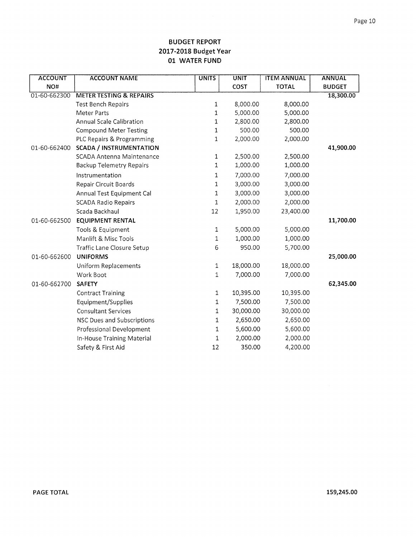| <b>ACCOUNT</b> | <b>ACCOUNT NAME</b>                | <b>UNITS</b>               | <b>UNIT</b> | <b>ITEM ANNUAL</b> | <b>ANNUAL</b> |
|----------------|------------------------------------|----------------------------|-------------|--------------------|---------------|
| NO#            |                                    |                            | COST        | <b>TOTAL</b>       | <b>BUDGET</b> |
| 01-60-662300   | <b>METER TESTING &amp; REPAIRS</b> |                            |             |                    | 18,300.00     |
|                | <b>Test Bench Repairs</b>          | $\ensuremath{\mathbbm{1}}$ | 8,000.00    | 8,000.00           |               |
|                | Meter Parts                        | 1                          | 5,000.00    | 5,000.00           |               |
|                | Annual Scale Calibration           | 1                          | 2,800.00    | 2,800.00           |               |
|                | <b>Compound Meter Testing</b>      | 1                          | 500.00      | 500.00             |               |
|                | PLC Repairs & Programming          | 1                          | 2,000.00    | 2,000.00           |               |
| 01-60-662400   | <b>SCADA / INSTRUMENTATION</b>     |                            |             |                    | 41,900.00     |
|                | SCADA Antenna Maintenance          | 1                          | 2,500.00    | 2,500.00           |               |
|                | <b>Backup Telemetry Repairs</b>    | 1                          | 1,000.00    | 1,000.00           |               |
|                | Instrumentation                    | 1                          | 7,000.00    | 7,000.00           |               |
|                | <b>Repair Circuit Boards</b>       | 1                          | 3,000.00    | 3,000.00           |               |
|                | Annual Test Equipment Cal          | 1                          | 3,000.00    | 3,000.00           |               |
|                | <b>SCADA Radio Repairs</b>         | 1                          | 2,000.00    | 2,000.00           |               |
|                | Scada Backhaul                     | 12                         | 1,950.00    | 23,400.00          |               |
| 01-60-662500   | <b>EQUIPMENT RENTAL</b>            |                            |             |                    | 11,700.00     |
|                | Tools & Equipment                  | 1                          | 5,000.00    | 5,000.00           |               |
|                | Manlift & Misc Tools               | 1                          | 1,000.00    | 1,000.00           |               |
|                | Traffic Lane Closure Setup         | 6                          | 950.00      | 5,700.00           |               |
| 01-60-662600   | <b>UNIFORMS</b>                    |                            |             |                    | 25,000.00     |
|                | Uniform Replacements               | $\mathbf 1$                | 18,000.00   | 18,000.00          |               |
|                | Work Boot                          | $\mathbf{1}$               | 7,000.00    | 7,000.00           |               |
| 01-60-662700   | <b>SAFETY</b>                      |                            |             |                    | 62,345.00     |
|                | <b>Contract Training</b>           | 1                          | 10,395.00   | 10,395.00          |               |
|                | Equipment/Supplies                 | 1                          | 7,500.00    | 7,500.00           |               |
|                | <b>Consultant Services</b>         | 1                          | 30,000.00   | 30,000.00          |               |
|                | NSC Dues and Subscriptions         | 1                          | 2,650.00    | 2,650.00           |               |
|                | Professional Development           | 1                          | 5,600.00    | 5,600.00           |               |
|                | In-House Training Material         | 1                          | 2,000.00    | 2,000.00           |               |
|                | Safety & First Aid                 | 12                         | 350.00      | 4,200.00           |               |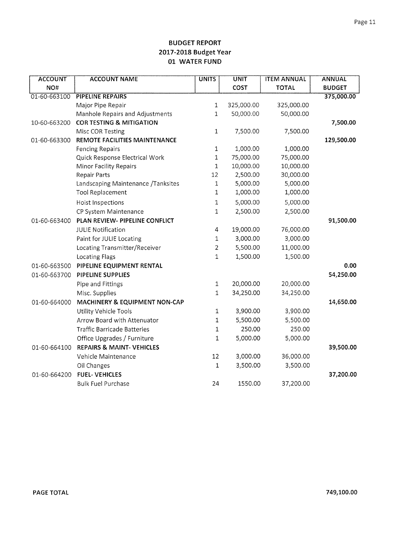| <b>ACCOUNT</b> | <b>ACCOUNT NAME</b>                  | <b>UNITS</b> | <b>UNIT</b> | <b>ITEM ANNUAL</b> | <b>ANNUAL</b> |
|----------------|--------------------------------------|--------------|-------------|--------------------|---------------|
| NO#            |                                      |              | <b>COST</b> | <b>TOTAL</b>       | <b>BUDGET</b> |
| 01-60-663100   | <b>PIPELINE REPAIRS</b>              |              |             |                    | 375,000.00    |
|                | Major Pipe Repair                    | 1            | 325,000.00  | 325,000.00         |               |
|                | Manhole Repairs and Adjustments      | $\mathbf 1$  | 50,000.00   | 50,000.00          |               |
| 10-60-663200   | <b>COR TESTING &amp; MITIGATION</b>  |              |             |                    | 7,500.00      |
|                | Misc COR Testing                     | $\mathbf{1}$ | 7,500.00    | 7,500.00           |               |
| 01-60-663300   | REMOTE FACILITIES MAINTENANCE        |              |             |                    | 129,500.00    |
|                | <b>Fencing Repairs</b>               | $\mathbf 1$  | 1,000.00    | 1,000.00           |               |
|                | Quick Response Electrical Work       | $\mathbf 1$  | 75,000.00   | 75,000.00          |               |
|                | Minor Facility Repairs               | $\mathbf{1}$ | 10,000.00   | 10,000.00          |               |
|                | <b>Repair Parts</b>                  | 12           | 2,500.00    | 30,000.00          |               |
|                | Landscaping Maintenance /Tanksites   | $\mathbf 1$  | 5,000.00    | 5,000.00           |               |
|                | <b>Tool Replacement</b>              | $\,1$        | 1,000.00    | 1,000.00           |               |
|                | Hoist Inspections                    | 1            | 5,000.00    | 5,000.00           |               |
|                | CP System Maintenance                | $\mathbf{1}$ | 2,500.00    | 2,500.00           |               |
| 01-60-663400   | PLAN REVIEW- PIPELINE CONFLICT       |              |             |                    | 91,500.00     |
|                | <b>JULIE Notification</b>            | 4            | 19,000.00   | 76,000.00          |               |
|                | Paint for JULIE Locating             | $\mathbf 1$  | 3,000.00    | 3,000.00           |               |
|                | Locating Transmitter/Receiver        | 2            | 5,500.00    | 11,000.00          |               |
|                | <b>Locating Flags</b>                | 1            | 1,500.00    | 1,500.00           |               |
| 01-60-663500   | PIPELINE EQUIPMENT RENTAL            |              |             |                    | 0.00          |
| 01-60-663700   | PIPELINE SUPPLIES                    |              |             |                    | 54,250.00     |
|                | Pipe and Fittings                    | $\mathbf{1}$ | 20,000.00   | 20,000.00          |               |
|                | Misc. Supplies                       | 1            | 34,250.00   | 34,250.00          |               |
| 01-60-664000   | MACHINERY & EQUIPMENT NON-CAP        |              |             |                    | 14,650.00     |
|                | Utility Vehicle Tools                | 1            | 3,900.00    | 3,900.00           |               |
|                | Arrow Board with Attenuator          | 1            | 5,500.00    | 5,500.00           |               |
|                | <b>Traffic Barricade Batteries</b>   | $\mathbf{1}$ | 250.00      | 250.00             |               |
|                | Office Upgrades / Furniture          | 1            | 5,000.00    | 5,000.00           |               |
| 01-60-664100   | <b>REPAIRS &amp; MAINT- VEHICLES</b> |              |             |                    | 39,500.00     |
|                | Vehicle Maintenance                  | 12           | 3,000.00    | 36,000.00          |               |
|                | Oil Changes                          | 1            | 3,500.00    | 3,500.00           |               |
| 01-60-664200   | <b>FUEL-VEHICLES</b>                 |              |             |                    | 37,200.00     |
|                | <b>Bulk Fuel Purchase</b>            | 24           | 1550.00     | 37,200.00          |               |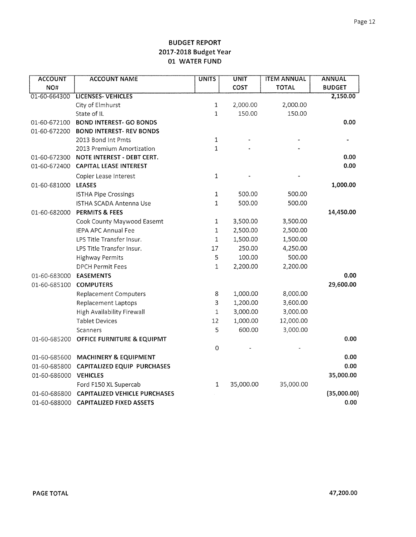| <b>ACCOUNT</b> | <b>ACCOUNT NAME</b>                  | <b>UNITS</b>              | <b>UNIT</b> | <b>ITEM ANNUAL</b> | <b>ANNUAL</b> |
|----------------|--------------------------------------|---------------------------|-------------|--------------------|---------------|
| NO#            |                                      |                           | COST        | <b>TOTAL</b>       | <b>BUDGET</b> |
| 01-60-664300   | LICENSES-VEHICLES                    |                           |             |                    | 2,150.00      |
|                | City of Elmhurst                     | $\mathbf 1$               | 2,000.00    | 2,000.00           |               |
|                | State of IL                          | $\mathbf 1$               | 150.00      | 150.00             |               |
| 01-60-672100   | <b>BOND INTEREST- GO BONDS</b>       |                           |             |                    | 0.00          |
| 01-60-672200   | <b>BOND INTEREST- REV BONDS</b>      |                           |             |                    |               |
|                | 2013 Bond Int Pmts                   | $\ensuremath{\mathsf{1}}$ |             |                    |               |
|                | 2013 Premium Amortization            | $\mathbf{1}$              |             |                    |               |
| 01-60-672300   | NOTE INTEREST - DEBT CERT.           |                           |             |                    | 0.00          |
| 01-60-672400   | <b>CAPITAL LEASE INTEREST</b>        |                           |             |                    | 0.00          |
|                | Copier Lease Interest                | $\mathbf 1$               |             |                    |               |
| 01-60-681000   | <b>LEASES</b>                        |                           |             |                    | 1,000.00      |
|                | <b>ISTHA Pipe Crossings</b>          | $\mathbf 1$               | 500.00      | 500.00             |               |
|                | <b>ISTHA SCADA Antenna Use</b>       | $\mathbf{1}$              | 500.00      | 500.00             |               |
| 01-60-682000   | <b>PERMITS &amp; FEES</b>            |                           |             |                    | 14,450.00     |
|                | Cook County Maywood Easemt           | $\mathbf 1$               | 3,500.00    | 3,500.00           |               |
|                | <b>IEPA APC Annual Fee</b>           | $\mathbf 1$               | 2,500.00    | 2,500.00           |               |
|                | LPS Title Transfer Insur.            | 1                         | 1,500.00    | 1,500.00           |               |
|                | LPS Title Transfer Insur.            | 17                        | 250.00      | 4,250.00           |               |
|                | <b>Highway Permits</b>               | 5                         | 100.00      | 500.00             |               |
|                | <b>DPCH Permit Fees</b>              | $\mathbf 1$               | 2,200.00    | 2,200.00           |               |
| 01-60-683000   | <b>EASEMENTS</b>                     |                           |             |                    | 0.00          |
| 01-60-685100   | <b>COMPUTERS</b>                     |                           |             |                    | 29,600.00     |
|                | <b>Replacement Computers</b>         | 8                         | 1,000.00    | 8,000.00           |               |
|                | Replacement Laptops                  | 3                         | 1,200.00    | 3,600.00           |               |
|                | High Availability Firewall           | 1                         | 3,000.00    | 3,000.00           |               |
|                | <b>Tablet Devices</b>                | 12                        | 1,000.00    | 12,000.00          |               |
|                | Scanners                             | 5                         | 600.00      | 3,000.00           |               |
| 01-60-685200   | OFFICE FURNITURE & EQUIPMT           |                           |             |                    | 0.00          |
|                |                                      | $\mathbf 0$               |             |                    |               |
| 01-60-685600   | <b>MACHINERY &amp; EQUIPMENT</b>     |                           |             |                    | 0.00          |
| 01-60-685800   | <b>CAPITALIZED EQUIP PURCHASES</b>   |                           |             |                    | 0.00          |
| 01-60-686000   | <b>VEHICLES</b>                      |                           |             |                    | 35,000.00     |
|                | Ford F150 XL Supercab                | 1                         | 35,000.00   | 35,000.00          |               |
| 01-60-686800   | <b>CAPITALIZED VEHICLE PURCHASES</b> |                           |             |                    | (35,000.00)   |
| 01-60-688000   | <b>CAPITALIZED FIXED ASSETS</b>      |                           |             |                    | 0.00          |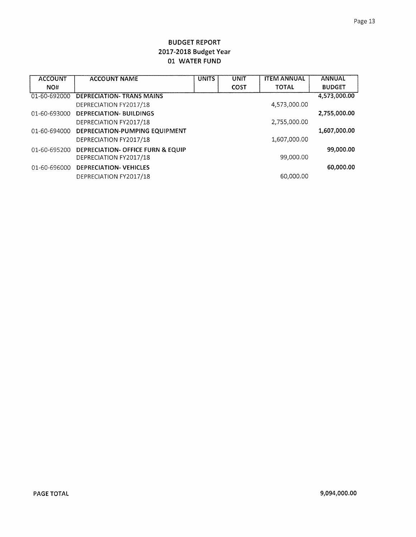| <b>ACCOUNT</b> | <b>ACCOUNT NAME</b>               | <b>UNITS</b> | UNIT        | <b>ITEM ANNUAL</b> | <b>ANNUAL</b> |
|----------------|-----------------------------------|--------------|-------------|--------------------|---------------|
| NO#            |                                   |              | <b>COST</b> | <b>TOTAL</b>       | <b>BUDGET</b> |
| 01-60-692000   | <b>DEPRECIATION- TRANS MAINS</b>  |              |             |                    | 4,573,000.00  |
|                | DEPRECIATION FY2017/18            |              |             | 4,573,000.00       |               |
| 01-60-693000   | <b>DEPRECIATION- BUILDINGS</b>    |              |             |                    | 2,755,000.00  |
|                | DEPRECIATION FY2017/18            |              |             | 2,755,000.00       |               |
| 01-60-694000   | DEPRECIATION-PUMPING EQUIPMENT    |              |             |                    | 1,607,000.00  |
|                | DEPRECIATION FY2017/18            |              |             | 1,607,000.00       |               |
| 01-60-695200   | DEPRECIATION- OFFICE FURN & EQUIP |              |             |                    | 99,000.00     |
|                | DEPRECIATION FY2017/18            |              |             | 99,000.00          |               |
| 01-60-696000   | <b>DEPRECIATION- VEHICLES</b>     |              |             |                    | 60,000.00     |
|                | DEPRECIATION FY2017/18            |              |             | 60,000,00          |               |